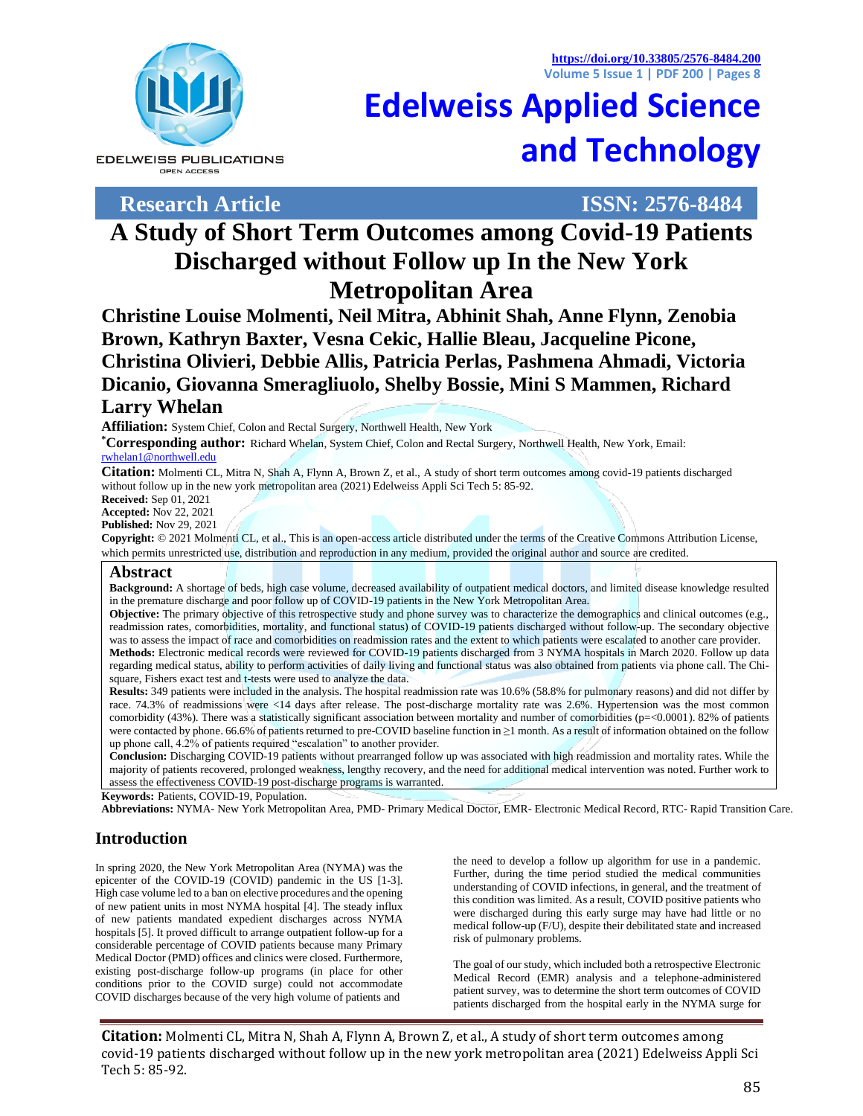**<https://doi.org/10.33805/2576-8484.200> Volume 5 Issue 1 | PDF 200 | Pages 8**





**Research Article ISSN: 2576-8484**

# **A Study of Short Term Outcomes among Covid-19 Patients Discharged without Follow up In the New York Metropolitan Area**

**Christine Louise Molmenti, Neil Mitra, Abhinit Shah, Anne Flynn, Zenobia Brown, Kathryn Baxter, Vesna Cekic, Hallie Bleau, Jacqueline Picone, Christina Olivieri, Debbie Allis, Patricia Perlas, Pashmena Ahmadi, Victoria Dicanio, Giovanna Smeragliuolo, Shelby Bossie, Mini S Mammen, Richard Larry Whelan**

**Affiliation:** System Chief, Colon and Rectal Surgery, Northwell Health, New York

**\*Corresponding author:** Richard Whelan, System Chief, Colon and Rectal Surgery, Northwell Health, New York, Email: [rwhelan1@northwell.edu](mailto:rwhelan1@northwell.edu)

**Citation:** Molmenti CL, Mitra N, Shah A, Flynn A, Brown Z, et al., A study of short term outcomes among covid-19 patients discharged without follow up in the new york metropolitan area (2021) Edelweiss Appli Sci Tech 5: 85-92.

**Received:** Sep 01, 2021

**Accepted:** Nov 22, 2021

**Published:** Nov 29, 2021

**Copyright:** © 2021 Molmenti CL, et al., This is an open-access article distributed under the terms of the Creative Commons Attribution License, which permits unrestricted use, distribution and reproduction in any medium, provided the original author and source are credited.

#### **Abstract**

**Background:** A shortage of beds, high case volume, decreased availability of outpatient medical doctors, and limited disease knowledge resulted in the premature discharge and poor follow up of COVID-19 patients in the New York Metropolitan Area.

**Objective:** The primary objective of this retrospective study and phone survey was to characterize the demographics and clinical outcomes (e.g., readmission rates, comorbidities, mortality, and functional status) of COVID-19 patients discharged without follow-up. The secondary objective was to assess the impact of race and comorbidities on readmission rates and the extent to which patients were escalated to another care provider. **Methods:** Electronic medical records were reviewed for COVID-19 patients discharged from 3 NYMA hospitals in March 2020. Follow up data regarding medical status, ability to perform activities of daily living and functional status was also obtained from patients via phone call. The Chisquare, Fishers exact test and t-tests were used to analyze the data.

**Results:** 349 patients were included in the analysis. The hospital readmission rate was 10.6% (58.8% for pulmonary reasons) and did not differ by race. 74.3% of readmissions were <14 days after release. The post-discharge mortality rate was 2.6%. Hypertension was the most common comorbidity (43%). There was a statistically significant association between mortality and number of comorbidities (p=<0.0001). 82% of patients were contacted by phone. 66.6% of patients returned to pre-COVID baseline function in ≥1 month. As a result of information obtained on the follow up phone call, 4.2% of patients required "escalation" to another provider.

**Conclusion:** Discharging COVID-19 patients without prearranged follow up was associated with high readmission and mortality rates. While the majority of patients recovered, prolonged weakness, lengthy recovery, and the need for additional medical intervention was noted. Further work to assess the effectiveness COVID-19 post-discharge programs is warranted.

**Keywords:** Patients, COVID-19, Population.

**Abbreviations:** NYMA- New York Metropolitan Area, PMD- Primary Medical Doctor, EMR- Electronic Medical Record, RTC- Rapid Transition Care.

## **Introduction**

In spring 2020, the New York Metropolitan Area (NYMA) was the epicenter of the COVID-19 (COVID) pandemic in the US [1-3]. High case volume led to a ban on elective procedures and the opening of new patient units in most NYMA hospital [4]. The steady influx of new patients mandated expedient discharges across NYMA hospitals [5]. It proved difficult to arrange outpatient follow-up for a considerable percentage of COVID patients because many Primary Medical Doctor (PMD) offices and clinics were closed. Furthermore, existing post-discharge follow-up programs (in place for other conditions prior to the COVID surge) could not accommodate COVID discharges because of the very high volume of patients and

the need to develop a follow up algorithm for use in a pandemic. Further, during the time period studied the medical communities understanding of COVID infections, in general, and the treatment of this condition was limited. As a result, COVID positive patients who were discharged during this early surge may have had little or no medical follow-up (F/U), despite their debilitated state and increased risk of pulmonary problems.

The goal of our study, which included both a retrospective Electronic Medical Record (EMR) analysis and a telephone-administered patient survey, was to determine the short term outcomes of COVID patients discharged from the hospital early in the NYMA surge for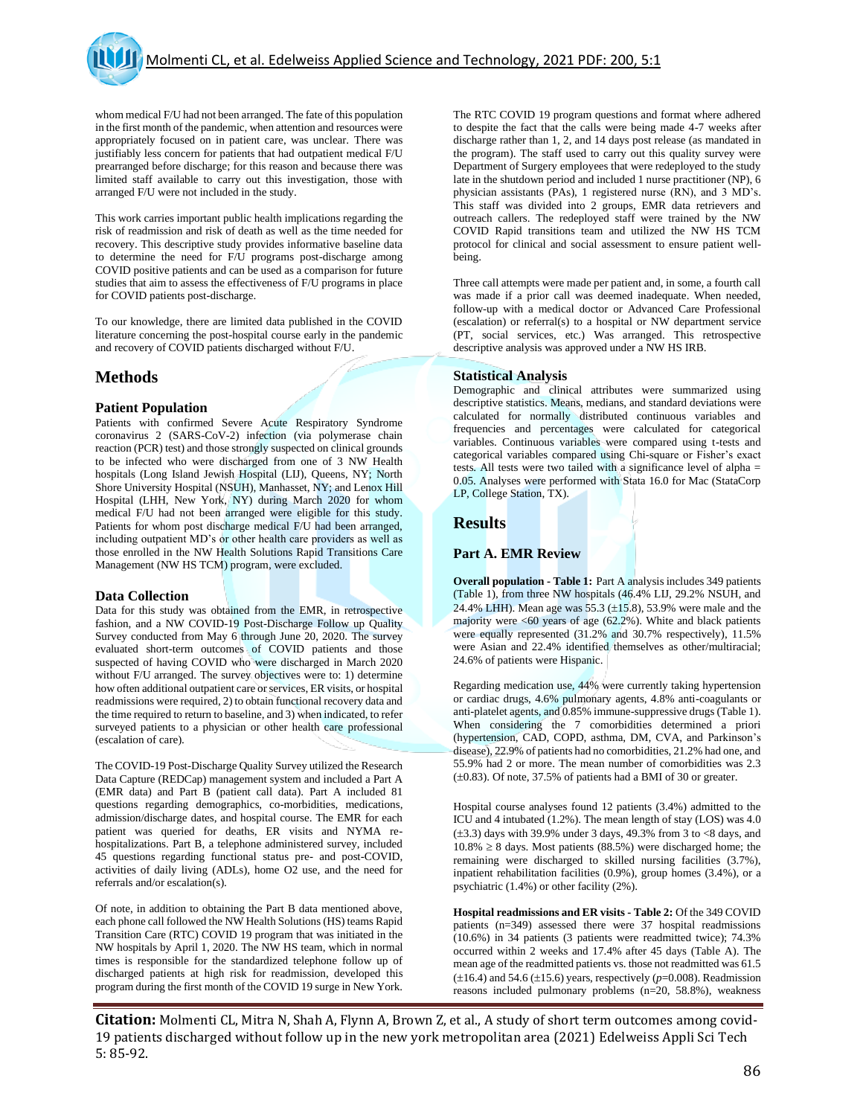whom medical F/U had not been arranged. The fate of this population in the first month of the pandemic, when attention and resources were appropriately focused on in patient care, was unclear. There was justifiably less concern for patients that had outpatient medical F/U prearranged before discharge; for this reason and because there was limited staff available to carry out this investigation, those with arranged F/U were not included in the study.

This work carries important public health implications regarding the risk of readmission and risk of death as well as the time needed for recovery. This descriptive study provides informative baseline data to determine the need for F/U programs post-discharge among COVID positive patients and can be used as a comparison for future studies that aim to assess the effectiveness of F/U programs in place for COVID patients post-discharge.

To our knowledge, there are limited data published in the COVID literature concerning the post-hospital course early in the pandemic and recovery of COVID patients discharged without F/U.

## **Methods**

#### **Patient Population**

Patients with confirmed Severe Acute Respiratory Syndrome coronavirus 2 (SARS-CoV-2) infection (via polymerase chain reaction (PCR) test) and those strongly suspected on clinical grounds to be infected who were discharged from one of 3 NW Health hospitals (Long Island Jewish Hospital (LIJ), Queens, NY; North Shore University Hospital (NSUH), Manhasset, NY; and Lenox Hill Hospital (LHH, New York, NY) during March 2020 for whom medical F/U had not been arranged were eligible for this study. Patients for whom post discharge medical F/U had been arranged, including outpatient MD's or other health care providers as well as those enrolled in the NW Health Solutions Rapid Transitions Care Management (NW HS TCM) program, were excluded.

#### **Data Collection**

Data for this study was obtained from the EMR, in retrospective fashion, and a NW COVID-19 Post-Discharge Follow up Quality Survey conducted from May 6 through June 20, 2020. The survey evaluated short-term outcomes of COVID patients and those suspected of having COVID who were discharged in March 2020 without F/U arranged. The survey objectives were to: 1) determine how often additional outpatient care or services, ER visits, or hospital readmissions were required, 2) to obtain functional recovery data and the time required to return to baseline, and 3) when indicated, to refer surveyed patients to a physician or other health care professional (escalation of care).

The COVID-19 Post-Discharge Quality Survey utilized the Research Data Capture (REDCap) management system and included a Part A (EMR data) and Part B (patient call data). Part A included 81 questions regarding demographics, co-morbidities, medications, admission/discharge dates, and hospital course. The EMR for each patient was queried for deaths, ER visits and NYMA rehospitalizations. Part B, a telephone administered survey, included 45 questions regarding functional status pre- and post-COVID, activities of daily living (ADLs), home O2 use, and the need for referrals and/or escalation(s).

Of note, in addition to obtaining the Part B data mentioned above, each phone call followed the NW Health Solutions (HS) teams Rapid Transition Care (RTC) COVID 19 program that was initiated in the NW hospitals by April 1, 2020. The NW HS team, which in normal times is responsible for the standardized telephone follow up of discharged patients at high risk for readmission, developed this program during the first month of the COVID 19 surge in New York.

The RTC COVID 19 program questions and format where adhered to despite the fact that the calls were being made 4-7 weeks after discharge rather than 1, 2, and 14 days post release (as mandated in the program). The staff used to carry out this quality survey were Department of Surgery employees that were redeployed to the study late in the shutdown period and included 1 nurse practitioner (NP), 6 physician assistants (PAs), 1 registered nurse (RN), and 3 MD's. This staff was divided into 2 groups, EMR data retrievers and outreach callers. The redeployed staff were trained by the NW COVID Rapid transitions team and utilized the NW HS TCM protocol for clinical and social assessment to ensure patient wellbeing.

Three call attempts were made per patient and, in some, a fourth call was made if a prior call was deemed inadequate. When needed, follow-up with a medical doctor or Advanced Care Professional (escalation) or referral(s) to a hospital or NW department service (PT, social services, etc.) Was arranged. This retrospective descriptive analysis was approved under a NW HS IRB.

#### **Statistical Analysis**

Demographic and clinical attributes were summarized using descriptive statistics. Means, medians, and standard deviations were calculated for normally distributed continuous variables and frequencies and percentages were calculated for categorical variables. Continuous variables were compared using t-tests and categorical variables compared using Chi-square or Fisher's exact tests. All tests were two tailed with a significance level of alpha = 0.05. Analyses were performed with Stata 16.0 for Mac (StataCorp LP, College Station, TX).

## **Results**

#### **Part A. EMR Review**

**Overall population - Table 1:** Part A analysis includes 349 patients (Table 1), from three NW hospitals (46.4% LIJ, 29.2% NSUH, and 24.4% LHH). Mean age was 55.3  $(\pm 15.8)$ , 53.9% were male and the majority were  $\leq 60$  years of age (62.2%). White and black patients were equally represented (31.2% and 30.7% respectively), 11.5% were Asian and 22.4% identified themselves as other/multiracial; 24.6% of patients were Hispanic.

Regarding medication use, 44% were currently taking hypertension or cardiac drugs, 4.6% pulmonary agents, 4.8% anti-coagulants or anti-platelet agents, and 0.85% immune-suppressive drugs (Table 1). When considering the 7 comorbidities determined a priori (hypertension, CAD, COPD, asthma, DM, CVA, and Parkinson's disease), 22.9% of patients had no comorbidities, 21.2% had one, and 55.9% had 2 or more. The mean number of comorbidities was 2.3  $(\pm 0.83)$ . Of note, 37.5% of patients had a BMI of 30 or greater.

Hospital course analyses found 12 patients (3.4%) admitted to the ICU and 4 intubated (1.2%). The mean length of stay (LOS) was 4.0  $(\pm 3.3)$  days with 39.9% under 3 days, 49.3% from 3 to <8 days, and  $10.8\% \geq 8$  days. Most patients (88.5%) were discharged home; the remaining were discharged to skilled nursing facilities (3.7%), inpatient rehabilitation facilities (0.9%), group homes (3.4%), or a psychiatric (1.4%) or other facility (2%).

**Hospital readmissions and ER visits - Table 2:** Of the 349 COVID patients (n=349) assessed there were 37 hospital readmissions (10.6%) in 34 patients (3 patients were readmitted twice); 74.3% occurred within 2 weeks and 17.4% after 45 days (Table A). The mean age of the readmitted patients vs. those not readmitted was 61.5  $(\pm 16.4)$  and 54.6 ( $\pm 15.6$ ) years, respectively ( $p=0.008$ ). Readmission reasons included pulmonary problems (n=20, 58.8%), weakness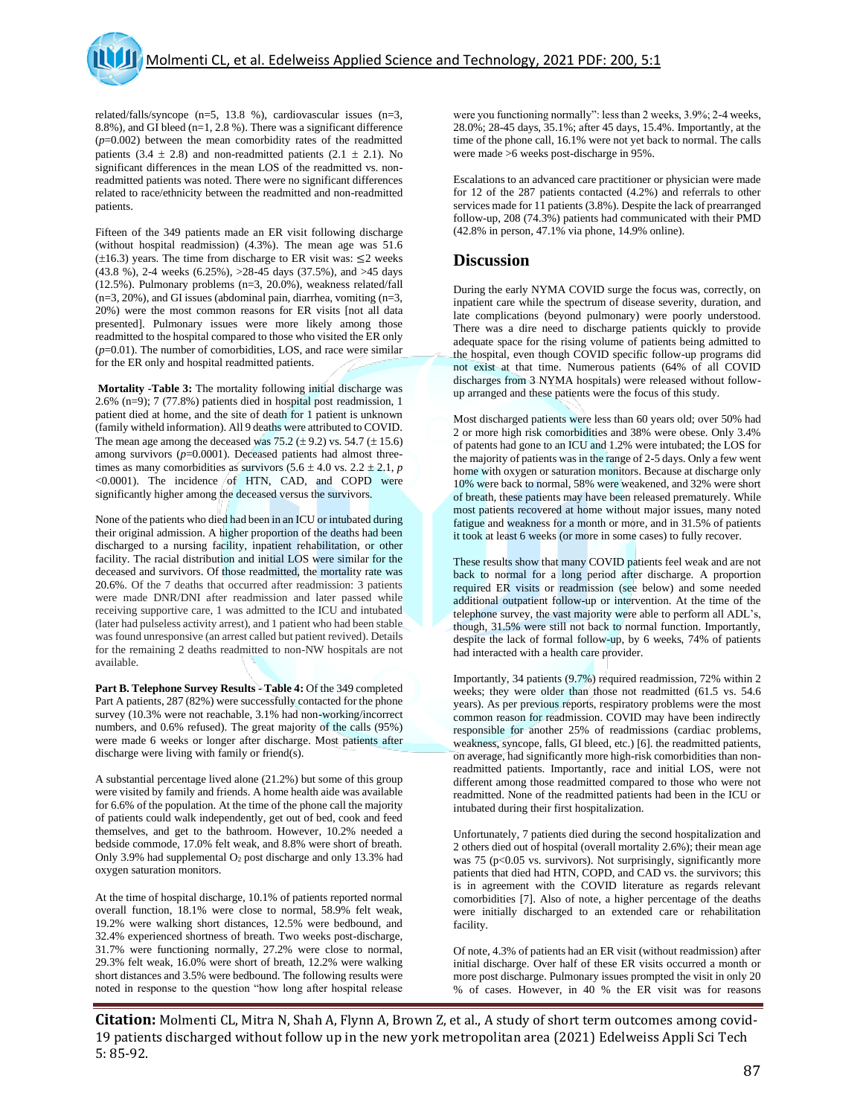related/falls/syncope (n=5, 13.8 %), cardiovascular issues (n=3, 8.8%), and GI bleed (n=1, 2.8 %). There was a significant difference (*p*=0.002) between the mean comorbidity rates of the readmitted patients (3.4  $\pm$  2.8) and non-readmitted patients (2.1  $\pm$  2.1). No significant differences in the mean LOS of the readmitted vs. nonreadmitted patients was noted. There were no significant differences related to race/ethnicity between the readmitted and non-readmitted patients.

Fifteen of the 349 patients made an ER visit following discharge (without hospital readmission) (4.3%). The mean age was 51.6  $(\pm 16.3)$  years. The time from discharge to ER visit was:  $\leq 2$  weeks (43.8 %), 2-4 weeks (6.25%), >28-45 days (37.5%), and >45 days (12.5%). Pulmonary problems (n=3, 20.0%), weakness related/fall  $(n=3, 20\%)$ , and GI issues (abdominal pain, diarrhea, vomiting  $(n=3, 10\%)$ 20%) were the most common reasons for ER visits [not all data presented]. Pulmonary issues were more likely among those readmitted to the hospital compared to those who visited the ER only  $(p=0.01)$ . The number of comorbidities, LOS, and race were similar for the ER only and hospital readmitted patients.

**Mortality -Table 3:** The mortality following initial discharge was 2.6% (n=9); 7 (77.8%) patients died in hospital post readmission, 1 patient died at home, and the site of death for 1 patient is unknown (family witheld information). All 9 deaths were attributed to COVID. The mean age among the deceased was  $75.2 \ (\pm 9.2)$  vs.  $54.7 \ (\pm 15.6)$ among survivors  $(p=0.0001)$ . Deceased patients had almost threetimes as many comorbidities as survivors  $(5.6 \pm 4.0 \text{ vs. } 2.2 \pm 2.1, p)$ <0.0001). The incidence of HTN, CAD, and COPD were significantly higher among the deceased versus the survivors.

None of the patients who died had been in an ICU or intubated during their original admission. A higher proportion of the deaths had been discharged to a nursing facility, inpatient rehabilitation, or other facility. The racial distribution and initial LOS were similar for the deceased and survivors. Of those readmitted, the mortality rate was 20.6%. Of the 7 deaths that occurred after readmission: 3 patients were made DNR/DNI after readmission and later passed while receiving supportive care, 1 was admitted to the ICU and intubated (later had pulseless activity arrest), and 1 patient who had been stable was found unresponsive (an arrest called but patient revived). Details for the remaining 2 deaths readmitted to non-NW hospitals are not available.

**Part B. Telephone Survey Results - Table 4:** Of the 349 completed Part A patients, 287 (82%) were successfully contacted for the phone survey (10.3% were not reachable, 3.1% had non-working/incorrect numbers, and 0.6% refused). The great majority of the calls (95%) were made 6 weeks or longer after discharge. Most patients after discharge were living with family or friend(s).

A substantial percentage lived alone (21.2%) but some of this group were visited by family and friends. A home health aide was available for 6.6% of the population. At the time of the phone call the majority of patients could walk independently, get out of bed, cook and feed themselves, and get to the bathroom. However, 10.2% needed a bedside commode, 17.0% felt weak, and 8.8% were short of breath. Only 3.9% had supplemental  $O_2$  post discharge and only 13.3% had oxygen saturation monitors.

At the time of hospital discharge, 10.1% of patients reported normal overall function, 18.1% were close to normal, 58.9% felt weak, 19.2% were walking short distances, 12.5% were bedbound, and 32.4% experienced shortness of breath. Two weeks post-discharge, 31.7% were functioning normally, 27.2% were close to normal, 29.3% felt weak, 16.0% were short of breath, 12.2% were walking short distances and 3.5% were bedbound. The following results were noted in response to the question "how long after hospital release were you functioning normally": less than 2 weeks, 3.9%; 2-4 weeks, 28.0%; 28-45 days, 35.1%; after 45 days, 15.4%. Importantly, at the time of the phone call, 16.1% were not yet back to normal. The calls were made >6 weeks post-discharge in 95%.

Escalations to an advanced care practitioner or physician were made for 12 of the 287 patients contacted (4.2%) and referrals to other services made for 11 patients (3.8%). Despite the lack of prearranged follow-up, 208 (74.3%) patients had communicated with their PMD (42.8% in person, 47.1% via phone, 14.9% online).

## **Discussion**

During the early NYMA COVID surge the focus was, correctly, on inpatient care while the spectrum of disease severity, duration, and late complications (beyond pulmonary) were poorly understood. There was a dire need to discharge patients quickly to provide adequate space for the rising volume of patients being admitted to the hospital, even though COVID specific follow-up programs did not exist at that time. Numerous patients (64% of all COVID discharges from 3 NYMA hospitals) were released without followup arranged and these patients were the focus of this study.

Most discharged patients were less than 60 years old; over 50% had 2 or more high risk comorbidities and 38% were obese. Only 3.4% of patents had gone to an ICU and 1.2% were intubated; the LOS for the majority of patients was in the range of 2-5 days. Only a few went home with oxygen or saturation monitors. Because at discharge only 10% were back to normal, 58% were weakened, and 32% were short of breath, these patients may have been released prematurely. While most patients recovered at home without major issues, many noted fatigue and weakness for a month or more, and in 31.5% of patients it took at least 6 weeks (or more in some cases) to fully recover.

These results show that many COVID patients feel weak and are not back to normal for a long period after discharge. A proportion required ER visits or readmission (see below) and some needed additional outpatient follow-up or intervention. At the time of the telephone survey, the vast majority were able to perform all ADL's, though, 31.5% were still not back to normal function. Importantly, despite the lack of formal follow-up, by 6 weeks, 74% of patients had interacted with a health care provider.

Importantly, 34 patients (9.7%) required readmission, 72% within 2 weeks; they were older than those not readmitted (61.5 vs. 54.6 years). As per previous reports, respiratory problems were the most common reason for readmission. COVID may have been indirectly responsible for another 25% of readmissions (cardiac problems, weakness, syncope, falls, GI bleed, etc.) [6]. the readmitted patients, on average, had significantly more high-risk comorbidities than nonreadmitted patients. Importantly, race and initial LOS, were not different among those readmitted compared to those who were not readmitted. None of the readmitted patients had been in the ICU or intubated during their first hospitalization.

Unfortunately, 7 patients died during the second hospitalization and 2 others died out of hospital (overall mortality 2.6%); their mean age was 75 (p<0.05 vs. survivors). Not surprisingly, significantly more patients that died had HTN, COPD, and CAD vs. the survivors; this is in agreement with the COVID literature as regards relevant comorbidities [7]. Also of note, a higher percentage of the deaths were initially discharged to an extended care or rehabilitation facility.

Of note, 4.3% of patients had an ER visit (without readmission) after initial discharge. Over half of these ER visits occurred a month or more post discharge. Pulmonary issues prompted the visit in only 20 % of cases. However, in 40 % the ER visit was for reasons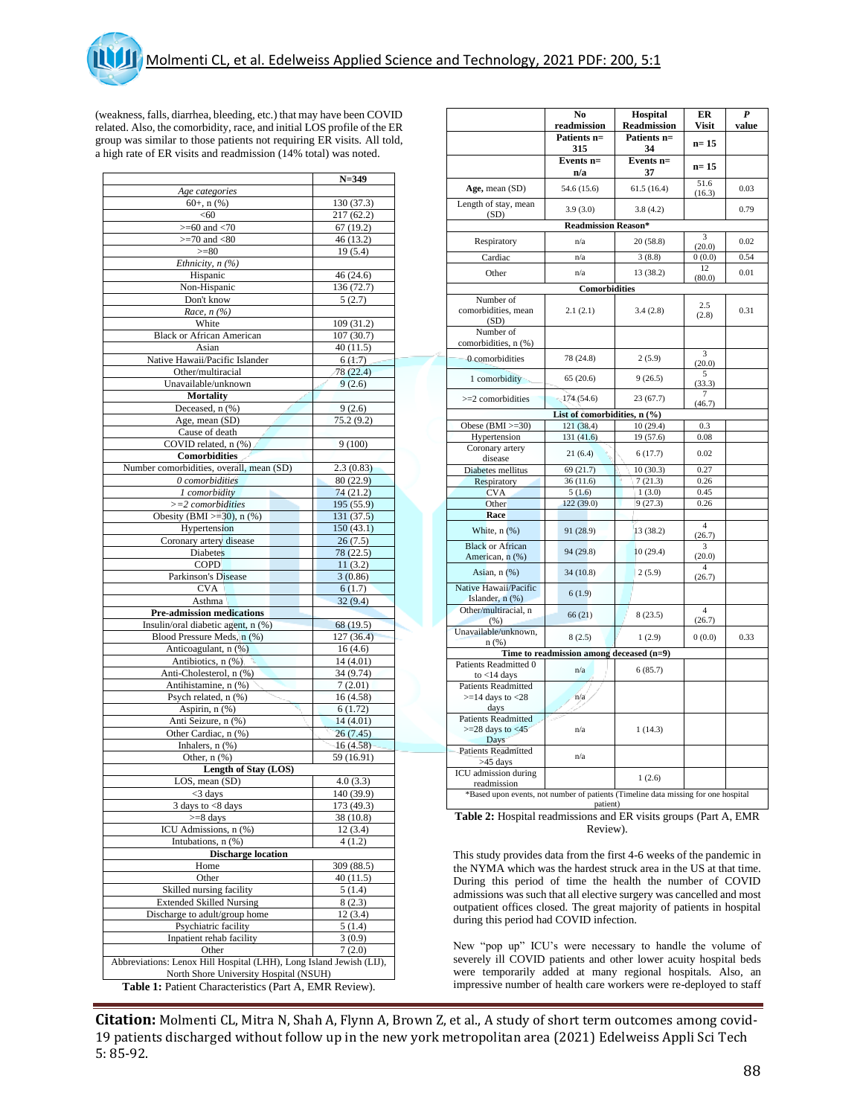(weakness, falls, diarrhea, bleeding, etc.) that may have been COVID related. Also, the comorbidity, race, and initial LOS profile of the ER group was similar to those patients not requiring ER visits. All told, a high rate of ER visits and readmission (14% total) was noted.

|                                                                     | $N = 349$  |
|---------------------------------------------------------------------|------------|
| Age categories                                                      |            |
| $60+, n$ (%)                                                        | 130 (37.3) |
| < 60                                                                | 217 (62.2) |
| $>= 60$ and $< 70$                                                  | 67(19.2)   |
| $>=70$ and $<80$                                                    | 46 (13.2)  |
| $>= 80$                                                             | 19(5.4)    |
| Ethnicity, $n$ (%)                                                  |            |
| Hispanic                                                            | 46 (24.6)  |
| Non-Hispanic                                                        | 136(72.7)  |
| Don't know                                                          | 5(2.7)     |
| Race, $n$ (%)                                                       |            |
| White                                                               | 109 (31.2) |
| <b>Black or African American</b>                                    | 107 (30.7) |
| Asian                                                               | 40(11.5)   |
| Native Hawaii/Pacific Islander                                      | 6(1.7)     |
| Other/multiracial                                                   | 78 (22.4)  |
| Unavailable/unknown                                                 | 9(2.6)     |
|                                                                     |            |
| <b>Mortality</b>                                                    |            |
| Deceased, n (%)                                                     | 9(2.6)     |
| Age, mean (SD)                                                      | 75.2 (9.2) |
| Cause of death                                                      |            |
| COVID related, n (%)                                                | 9(100)     |
| Comorbidities                                                       |            |
| Number comorbidities, overall, mean (SD)                            | 2.3(0.83)  |
| 0 comorbidities                                                     | 80 (22.9)  |
| 1 comorbidity                                                       | 74(21.2)   |
| $>=$ 2 comorbidities                                                | 195 (55.9) |
| Obesity (BMI $>=$ 30), n (%)                                        | 131(37.5)  |
| Hypertension                                                        | 150(43.1)  |
| Coronary artery disease                                             | 26(7.5)    |
| <b>Diabetes</b>                                                     | 78 (22.5)  |
| <b>COPD</b>                                                         | 11(3.2)    |
| Parkinson's Disease                                                 | 3(0.86)    |
| <b>CVA</b>                                                          |            |
|                                                                     | 6(1.7)     |
| Asthma                                                              | 32(9.4)    |
| Pre-admission medications                                           |            |
| Insulin/oral diabetic agent, n (%)                                  | 68 (19.5)  |
| Blood Pressure Meds, n (%)                                          | 127 (36.4) |
| Anticoagulant, n (%)                                                | 16(4.6)    |
| Antibiotics, n (%)                                                  | 14(4.01)   |
| Anti-Cholesterol, n (%)                                             | 34 (9.74)  |
| Antihistamine, n (%)                                                | 7(2.01)    |
| Psych related, n (%)                                                | 16 (4.58)  |
| Aspirin, n (%)                                                      | 6(1.72)    |
| Anti Seizure, n (%)                                                 | 14(4.01)   |
| Other Cardiac, n (%)                                                | 26 (7.45)  |
| Inhalers, $n$ $(\%)$                                                | 16(4.58)   |
| Other, $n$ $(\%)$                                                   | 59 (16.91) |
| Length of Stay (LOS)                                                |            |
| LOS, mean (SD)                                                      | 4.0(3.3)   |
| $<$ 3 days                                                          | 140 (39.9) |
| $3$ days to $< 8$ days                                              | 173 (49.3) |
| >=8 days                                                            | 38 (10.8)  |
| ICU Admissions, n (%)                                               | 12 (3.4)   |
| Intubations, n (%)                                                  |            |
|                                                                     | 4(1.2)     |
|                                                                     |            |
| <b>Discharge location</b>                                           |            |
| Home                                                                | 309 (88.5) |
| Other                                                               | 40 (11.5)  |
| Skilled nursing facility                                            | 5(1.4)     |
| <b>Extended Skilled Nursing</b>                                     | 8 (2.3)    |
| Discharge to adult/group home                                       | 12 (3.4)   |
| Psychiatric facility                                                | 5(1.4)     |
| Inpatient rehab facility                                            | 3(0.9)     |
| Other                                                               | 7(2.0)     |
| Abbreviations: Lenox Hill Hospital (LHH), Long Island Jewish (LIJ), |            |
| North Shore University Hospital (NSUH)                              |            |

|                                                                                    | No                                       | Hospital              | ER                            | $\boldsymbol{P}$ |  |  |  |
|------------------------------------------------------------------------------------|------------------------------------------|-----------------------|-------------------------------|------------------|--|--|--|
|                                                                                    | readmission                              | <b>Readmission</b>    | Visit                         | value            |  |  |  |
|                                                                                    | Patients n=<br>315                       | Patients n=<br>34     | $n=15$                        |                  |  |  |  |
|                                                                                    | Events n=                                | Events n=             | $n=15$                        |                  |  |  |  |
|                                                                                    | n/a                                      | 37                    |                               |                  |  |  |  |
| Age, mean (SD)                                                                     | 54.6 (15.6)                              | 61.5(16.4)            | 51.6<br>(16.3)                | 0.03             |  |  |  |
| Length of stay, mean<br>(SD)                                                       | 3.9(3.0)                                 | 3.8(4.2)              |                               | 0.79             |  |  |  |
|                                                                                    | <b>Readmission Reason*</b>               |                       |                               |                  |  |  |  |
| Respiratory                                                                        | n/a                                      | 20(58.8)              | 3<br>(20.0)                   | 0.02             |  |  |  |
| Cardiac                                                                            | n/a                                      | 3(8.8)                | 0(0.0)                        | 0.54             |  |  |  |
| Other                                                                              | n/a                                      | 13 (38.2)             | 12                            | 0.01             |  |  |  |
|                                                                                    | Comorbidities                            |                       | (80.0)                        |                  |  |  |  |
| Number of                                                                          |                                          |                       |                               |                  |  |  |  |
| comorbidities, mean<br>(SD)                                                        | 2.1(2.1)                                 | 3.4(2.8)              | 2.5<br>(2.8)                  | 0.31             |  |  |  |
| Number of<br>comorbidities, n (%)                                                  |                                          |                       |                               |                  |  |  |  |
| 0 comorbidities                                                                    | 78 (24.8)                                | 2(5.9)                | 3<br>(20.0)                   |                  |  |  |  |
| 1 comorbidity                                                                      | 65 (20.6)                                | 9(26.5)               | 5<br>(33.3)<br>7              |                  |  |  |  |
| $>=$ 2 comorbidities                                                               | 174 (54.6)                               | 23(67.7)              | (46.7)                        |                  |  |  |  |
|                                                                                    | List of comorbidities, n (%)             |                       |                               |                  |  |  |  |
| Obese $(BMI >=30)$<br>Hypertension                                                 | 121 (38.4)<br>131 (41.6)                 | 10(29.4)<br>19 (57.6) | 0.3<br>0.08                   |                  |  |  |  |
| Coronary artery                                                                    |                                          |                       |                               |                  |  |  |  |
| disease                                                                            | 21(6.4)                                  | 6(17.7)               | 0.02                          |                  |  |  |  |
| Diabetes mellitus                                                                  | 69 (21.7)                                | 10(30.3)              | 0.27                          |                  |  |  |  |
| Respiratory                                                                        | 36(11.6)                                 | 7(21.3)               | 0.26                          |                  |  |  |  |
| <b>CVA</b>                                                                         | 5(1.6)                                   | 1(3.0)                | 0.45                          |                  |  |  |  |
| Other                                                                              | 122 (39.0)                               | 9(27.3)               | 0.26                          |                  |  |  |  |
| Race                                                                               |                                          |                       | $\overline{4}$                |                  |  |  |  |
| White, n (%)<br><b>Black or African</b>                                            | 91 (28.9)                                | 13 (38.2)             | (26.7)                        |                  |  |  |  |
| American, n (%)                                                                    | 94 (29.8)                                | 10(29.4)              | 3<br>(20.0)<br>$\overline{4}$ |                  |  |  |  |
| Asian, n (%)<br>Native Hawaii/Pacific                                              | 34(10.8)                                 | 2(5.9)                | (26.7)                        |                  |  |  |  |
| Islander, n (%)                                                                    | 6(1.9)                                   |                       |                               |                  |  |  |  |
| Other/multiracial, n<br>(% )                                                       | 66(21)                                   | 8(23.5)               | $\overline{4}$<br>(26.7)      |                  |  |  |  |
| Unavailable/unknown,<br>n(%)                                                       | 8(2.5)                                   | 1(2.9)                | 0(0.0)                        | 0.33             |  |  |  |
|                                                                                    | Time to readmission among deceased (n=9) |                       |                               |                  |  |  |  |
| Patients Readmitted 0<br>to $<$ 14 days                                            | n/a                                      | 6(85.7)               |                               |                  |  |  |  |
| <b>Patients Readmitted</b>                                                         |                                          |                       |                               |                  |  |  |  |
| $>=$ 14 days to $<$ 28<br>days                                                     | n/a                                      |                       |                               |                  |  |  |  |
| <b>Patients Readmitted</b>                                                         |                                          |                       |                               |                  |  |  |  |
| $>=$ 28 days to $<$ 45<br>Days                                                     | n/a                                      | 1(14.3)               |                               |                  |  |  |  |
| <b>Patients Readmitted</b><br>$>45$ days                                           | n/a                                      |                       |                               |                  |  |  |  |
| ICU admission during<br>readmission                                                |                                          | 1(2.6)                |                               |                  |  |  |  |
| *Based upon events, not number of patients (Timeline data missing for one hospital | patient)                                 |                       |                               |                  |  |  |  |

**Table 2:** Hospital readmissions and ER visits groups (Part A, EMR Review).

This study provides data from the first 4-6 weeks of the pandemic in the NYMA which was the hardest struck area in the US at that time. During this period of time the health the number of COVID admissions was such that all elective surgery was cancelled and most outpatient offices closed. The great majority of patients in hospital during this period had COVID infection.

New "pop up" ICU's were necessary to handle the volume of severely ill COVID patients and other lower acuity hospital beds were temporarily added at many regional hospitals. Also, an impressive number of health care workers were re-deployed to staff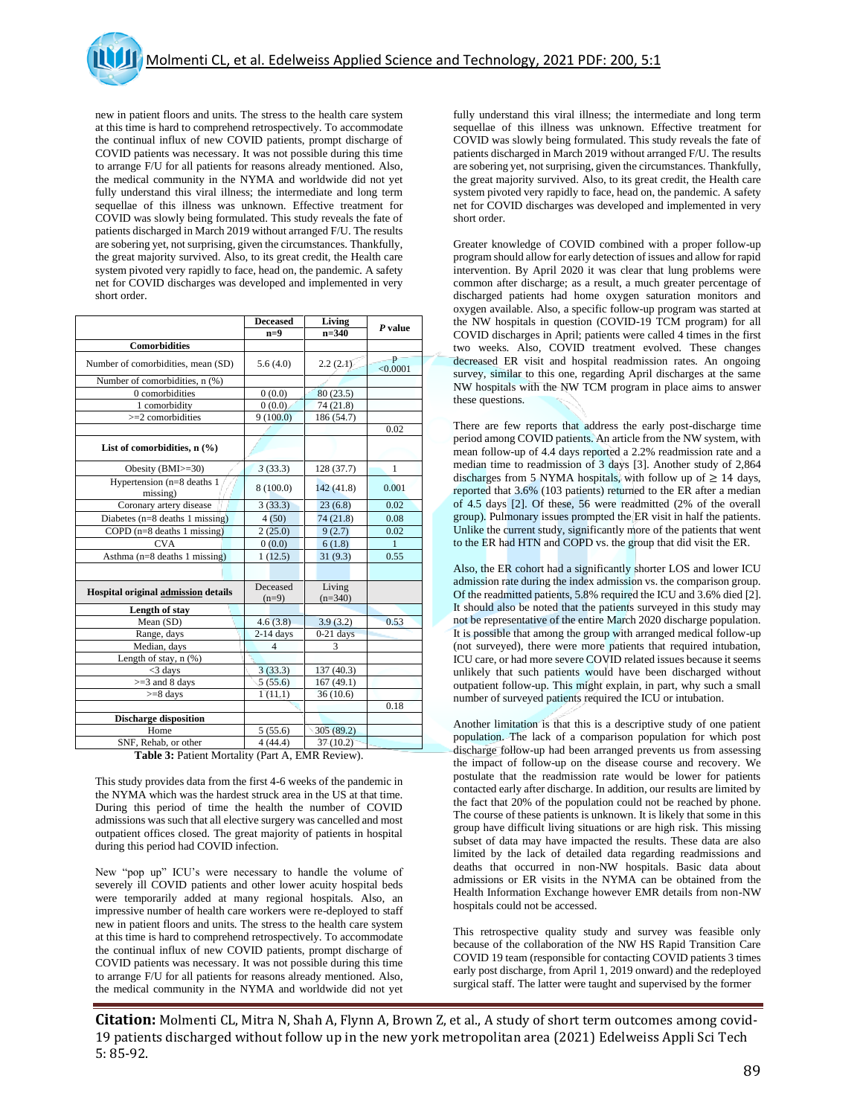new in patient floors and units. The stress to the health care system at this time is hard to comprehend retrospectively. To accommodate the continual influx of new COVID patients, prompt discharge of COVID patients was necessary. It was not possible during this time to arrange F/U for all patients for reasons already mentioned. Also, the medical community in the NYMA and worldwide did not yet fully understand this viral illness; the intermediate and long term sequellae of this illness was unknown. Effective treatment for COVID was slowly being formulated. This study reveals the fate of patients discharged in March 2019 without arranged F/U. The results are sobering yet, not surprising, given the circumstances. Thankfully, the great majority survived. Also, to its great credit, the Health care system pivoted very rapidly to face, head on, the pandemic. A safety net for COVID discharges was developed and implemented in very short order.

|                                        | <b>Deceased</b>     | Living              | P value       |
|----------------------------------------|---------------------|---------------------|---------------|
|                                        | $n=9$               | $n=340$             |               |
| <b>Comorbidities</b>                   |                     |                     |               |
| Number of comorbidities, mean (SD)     | 5.6(4.0)            | 2.2(2.1)            | p<br>< 0.0001 |
| Number of comorbidities, n (%)         |                     |                     |               |
| 0 comorbidities                        | 0(0.0)              | 80(23.5)            |               |
| 1 comorbidity                          | 0(0.0)              | 74 (21.8)           |               |
| $>=$ 2 comorbidities                   | 9(100.0)            | 186 (54.7)          |               |
|                                        |                     |                     | 0.02          |
| List of comorbidities, $n$ (%)         |                     |                     |               |
| Obesity (BMI>=30)                      | 3(33.3)             | 128 (37.7)          | $\mathbf{1}$  |
| Hypertension (n=8 deaths 1<br>missing) | 8(100.0)            | 142(41.8)           | 0.001         |
| Coronary artery disease                | 3(33.3)             | 23(6.8)             | 0.02          |
| Diabetes $(n=8$ deaths 1 missing)      | 4(50)               | 74 (21.8)           | 0.08          |
| COPD $(n=8$ deaths 1 missing)          | 2(25.0)             | 9(2.7)              | 0.02          |
| <b>CVA</b>                             | 0(0.0)              | 6(1.8)              | $\mathbf{1}$  |
| Asthma $(n=8$ deaths 1 missing)        | 1(12.5)             | 31(9.3)             | 0.55          |
|                                        |                     |                     |               |
| Hospital original admission details    | Deceased<br>$(n=9)$ | Living<br>$(n=340)$ |               |
| Length of stay                         |                     |                     |               |
| Mean (SD)                              | 4.6(3.8)            | 3.9(3.2)            | 0.53          |
| Range, days                            | $2-14$ days         | $0-21$ days         |               |
| Median, days                           | Δ                   | 3                   |               |
| Length of stay, $n$ $(\%)$             |                     |                     |               |
| $<$ 3 days                             | 3(33.3)             | 137 (40.3)          |               |
| $>=$ 3 and 8 days                      | 5(55.6)             | 167(49.1)           |               |
| $>= 8$ days                            | 1(11.1)             | 36(10.6)            |               |
|                                        |                     |                     | 0.18          |
| <b>Discharge disposition</b>           |                     |                     |               |
| Home                                   | 5(55.6)             | 305(89.2)           |               |
| SNF, Rehab, or other                   | 4(44.4)             | 37(10.2)            |               |

**Table 3:** Patient Mortality (Part A, EMR Review).

This study provides data from the first 4-6 weeks of the pandemic in the NYMA which was the hardest struck area in the US at that time. During this period of time the health the number of COVID admissions was such that all elective surgery was cancelled and most outpatient offices closed. The great majority of patients in hospital during this period had COVID infection.

New "pop up" ICU's were necessary to handle the volume of severely ill COVID patients and other lower acuity hospital beds were temporarily added at many regional hospitals. Also, an impressive number of health care workers were re-deployed to staff new in patient floors and units. The stress to the health care system at this time is hard to comprehend retrospectively. To accommodate the continual influx of new COVID patients, prompt discharge of COVID patients was necessary. It was not possible during this time to arrange F/U for all patients for reasons already mentioned. Also, the medical community in the NYMA and worldwide did not yet

fully understand this viral illness; the intermediate and long term sequellae of this illness was unknown. Effective treatment for COVID was slowly being formulated. This study reveals the fate of patients discharged in March 2019 without arranged F/U. The results are sobering yet, not surprising, given the circumstances. Thankfully, the great majority survived. Also, to its great credit, the Health care system pivoted very rapidly to face, head on, the pandemic. A safety net for COVID discharges was developed and implemented in very short order.

Greater knowledge of COVID combined with a proper follow-up program should allow for early detection of issues and allow for rapid intervention. By April 2020 it was clear that lung problems were common after discharge; as a result, a much greater percentage of discharged patients had home oxygen saturation monitors and oxygen available. Also, a specific follow-up program was started at the NW hospitals in question (COVID-19 TCM program) for all COVID discharges in April; patients were called 4 times in the first two weeks. Also, COVID treatment evolved. These changes decreased ER visit and hospital readmission rates. An ongoing survey, similar to this one, regarding April discharges at the same NW hospitals with the NW TCM program in place aims to answer these questions.

There are few reports that address the early post-discharge time period among COVID patients. An article from the NW system, with mean follow-up of 4.4 days reported a 2.2% readmission rate and a median time to readmission of 3 days [3]. Another study of 2,864 discharges from 5 NYMA hospitals, with follow up of  $\geq 14$  days, reported that 3.6% (103 patients) returned to the ER after a median of 4.5 days [2]. Of these, 56 were readmitted (2% of the overall group). Pulmonary issues prompted the ER visit in half the patients. Unlike the current study, significantly more of the patients that went to the ER had HTN and COPD vs. the group that did visit the ER.

Also, the ER cohort had a significantly shorter LOS and lower ICU admission rate during the index admission vs. the comparison group. Of the readmitted patients, 5.8% required the ICU and 3.6% died [2]. It should also be noted that the patients surveyed in this study may not be representative of the entire March 2020 discharge population. It is possible that among the group with arranged medical follow-up (not surveyed), there were more patients that required intubation, ICU care, or had more severe COVID related issues because it seems unlikely that such patients would have been discharged without outpatient follow-up. This might explain, in part, why such a small number of surveyed patients required the ICU or intubation.

Another limitation is that this is a descriptive study of one patient population. The lack of a comparison population for which post discharge follow-up had been arranged prevents us from assessing the impact of follow-up on the disease course and recovery. We postulate that the readmission rate would be lower for patients contacted early after discharge. In addition, our results are limited by the fact that 20% of the population could not be reached by phone. The course of these patients is unknown. It is likely that some in this group have difficult living situations or are high risk. This missing subset of data may have impacted the results. These data are also limited by the lack of detailed data regarding readmissions and deaths that occurred in non-NW hospitals. Basic data about admissions or ER visits in the NYMA can be obtained from the Health Information Exchange however EMR details from non-NW hospitals could not be accessed.

This retrospective quality study and survey was feasible only because of the collaboration of the NW HS Rapid Transition Care COVID 19 team (responsible for contacting COVID patients 3 times early post discharge, from April 1, 2019 onward) and the redeployed surgical staff. The latter were taught and supervised by the former